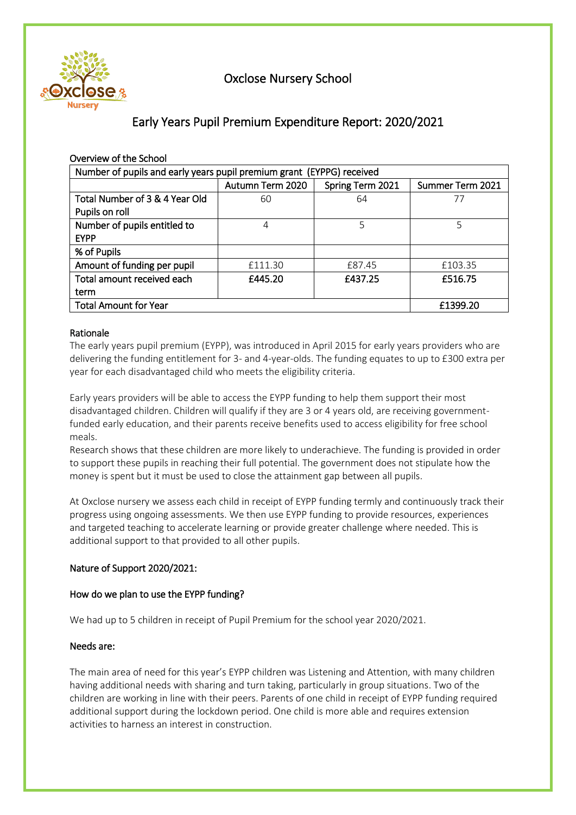

## Oxclose Nursery School

# Early Years Pupil Premium Expenditure Report: 2020/2021

| Overview of the School                                                |                  |                  |                  |  |  |  |
|-----------------------------------------------------------------------|------------------|------------------|------------------|--|--|--|
| Number of pupils and early years pupil premium grant (EYPPG) received |                  |                  |                  |  |  |  |
|                                                                       | Autumn Term 2020 | Spring Term 2021 | Summer Term 2021 |  |  |  |
| Total Number of 3 & 4 Year Old                                        | 60               | 64               | 77               |  |  |  |
| Pupils on roll                                                        |                  |                  |                  |  |  |  |
| Number of pupils entitled to                                          | 4                | 5                | 5                |  |  |  |
| <b>EYPP</b>                                                           |                  |                  |                  |  |  |  |
| % of Pupils                                                           |                  |                  |                  |  |  |  |
| Amount of funding per pupil                                           | £111.30          | £87.45           | £103.35          |  |  |  |
| Total amount received each                                            | £445.20          | £437.25          | £516.75          |  |  |  |
| term                                                                  |                  |                  |                  |  |  |  |
| <b>Total Amount for Year</b>                                          | £1399.20         |                  |                  |  |  |  |

## Rationale

The early years pupil premium (EYPP), was introduced in April 2015 for early years providers who are delivering the funding entitlement for 3- and 4-year-olds. The funding equates to up to £300 extra per year for each disadvantaged child who meets the eligibility criteria.

Early years providers will be able to access the EYPP funding to help them support their most disadvantaged children. Children will qualify if they are 3 or 4 years old, are receiving governmentfunded early education, and their parents receive benefits used to access eligibility for free school meals.

Research shows that these children are more likely to underachieve. The funding is provided in order to support these pupils in reaching their full potential. The government does not stipulate how the money is spent but it must be used to close the attainment gap between all pupils.

At Oxclose nursery we assess each child in receipt of EYPP funding termly and continuously track their progress using ongoing assessments. We then use EYPP funding to provide resources, experiences and targeted teaching to accelerate learning or provide greater challenge where needed. This is additional support to that provided to all other pupils.

## Nature of Support 2020/2021:

## How do we plan to use the EYPP funding?

We had up to 5 children in receipt of Pupil Premium for the school year 2020/2021.

## Needs are:

The main area of need for this year's EYPP children was Listening and Attention, with many children having additional needs with sharing and turn taking, particularly in group situations. Two of the children are working in line with their peers. Parents of one child in receipt of EYPP funding required additional support during the lockdown period. One child is more able and requires extension activities to harness an interest in construction.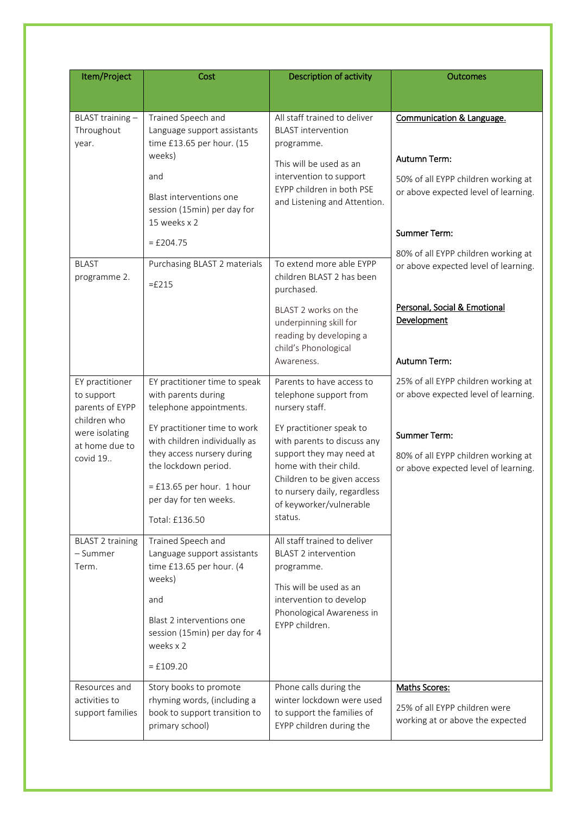| Item/Project                                                                                                     | Cost                                                                                                                                                                                                                                                                              | Description of activity                                                                                                                                                                                                                                                                     | <b>Outcomes</b>                                                                                                                                                                   |
|------------------------------------------------------------------------------------------------------------------|-----------------------------------------------------------------------------------------------------------------------------------------------------------------------------------------------------------------------------------------------------------------------------------|---------------------------------------------------------------------------------------------------------------------------------------------------------------------------------------------------------------------------------------------------------------------------------------------|-----------------------------------------------------------------------------------------------------------------------------------------------------------------------------------|
|                                                                                                                  |                                                                                                                                                                                                                                                                                   |                                                                                                                                                                                                                                                                                             |                                                                                                                                                                                   |
| BLAST training-<br>Throughout<br>year.                                                                           | Trained Speech and<br>Language support assistants<br>time £13.65 per hour. (15<br>weeks)<br>and<br>Blast interventions one<br>session (15min) per day for<br>15 weeks x 2<br>$=$ £204.75                                                                                          | All staff trained to deliver<br><b>BLAST</b> intervention<br>programme.<br>This will be used as an<br>intervention to support<br>EYPP children in both PSE<br>and Listening and Attention.                                                                                                  | Communication & Language.<br>Autumn Term:<br>50% of all EYPP children working at<br>or above expected level of learning.<br><b>Summer Term:</b>                                   |
| <b>BLAST</b><br>programme 2.                                                                                     | Purchasing BLAST 2 materials<br>$=$ £215                                                                                                                                                                                                                                          | To extend more able EYPP<br>children BLAST 2 has been<br>purchased.<br>BLAST 2 works on the<br>underpinning skill for<br>reading by developing a<br>child's Phonological<br>Awareness.                                                                                                      | 80% of all EYPP children working at<br>or above expected level of learning.<br>Personal, Social & Emotional<br>Development<br><b>Autumn Term:</b>                                 |
| EY practitioner<br>to support<br>parents of EYPP<br>children who<br>were isolating<br>at home due to<br>covid 19 | EY practitioner time to speak<br>with parents during<br>telephone appointments.<br>EY practitioner time to work<br>with children individually as<br>they access nursery during<br>the lockdown period.<br>$=$ £13.65 per hour. 1 hour<br>per day for ten weeks.<br>Total: £136.50 | Parents to have access to<br>telephone support from<br>nursery staff.<br>EY practitioner speak to<br>with parents to discuss any<br>support they may need at<br>home with their child.<br>Children to be given access<br>to nursery daily, regardless<br>of keyworker/vulnerable<br>status. | 25% of all EYPP children working at<br>or above expected level of learning.<br><b>Summer Term:</b><br>80% of all EYPP children working at<br>or above expected level of learning. |
| <b>BLAST 2 training</b><br>- Summer<br>Term.                                                                     | Trained Speech and<br>Language support assistants<br>time £13.65 per hour. (4<br>weeks)<br>and<br>Blast 2 interventions one<br>session (15min) per day for 4<br>weeks x 2<br>$=$ £109.20                                                                                          | All staff trained to deliver<br><b>BLAST 2 intervention</b><br>programme.<br>This will be used as an<br>intervention to develop<br>Phonological Awareness in<br>EYPP children.                                                                                                              |                                                                                                                                                                                   |
| Resources and<br>activities to<br>support families                                                               | Story books to promote<br>rhyming words, (including a<br>book to support transition to<br>primary school)                                                                                                                                                                         | Phone calls during the<br>winter lockdown were used<br>to support the families of<br>EYPP children during the                                                                                                                                                                               | Maths Scores:<br>25% of all EYPP children were<br>working at or above the expected                                                                                                |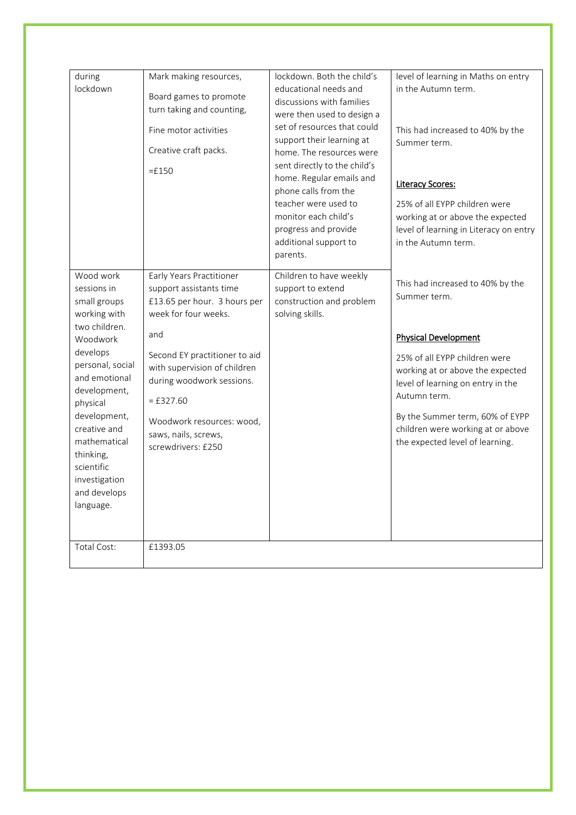| during<br>lockdown                                                                                                                                                                                                                                                                          | Mark making resources,<br>Board games to promote<br>turn taking and counting,<br>Fine motor activities<br>Creative craft packs.<br>$=£150$                                                                                                                                                                 | lockdown. Both the child's<br>educational needs and<br>discussions with families<br>were then used to design a<br>set of resources that could<br>support their learning at<br>home. The resources were<br>sent directly to the child's<br>home. Regular emails and<br>phone calls from the<br>teacher were used to<br>monitor each child's<br>progress and provide<br>additional support to<br>parents. | level of learning in Maths on entry<br>in the Autumn term.<br>This had increased to 40% by the<br>Summer term.<br><b>Literacy Scores:</b><br>25% of all EYPP children were<br>working at or above the expected<br>level of learning in Literacy on entry<br>in the Autumn term.                                      |
|---------------------------------------------------------------------------------------------------------------------------------------------------------------------------------------------------------------------------------------------------------------------------------------------|------------------------------------------------------------------------------------------------------------------------------------------------------------------------------------------------------------------------------------------------------------------------------------------------------------|---------------------------------------------------------------------------------------------------------------------------------------------------------------------------------------------------------------------------------------------------------------------------------------------------------------------------------------------------------------------------------------------------------|----------------------------------------------------------------------------------------------------------------------------------------------------------------------------------------------------------------------------------------------------------------------------------------------------------------------|
| Wood work<br>sessions in<br>small groups<br>working with<br>two children.<br>Woodwork<br>develops<br>personal, social<br>and emotional<br>development,<br>physical<br>development,<br>creative and<br>mathematical<br>thinking,<br>scientific<br>investigation<br>and develops<br>language. | Early Years Practitioner<br>support assistants time<br>£13.65 per hour. 3 hours per<br>week for four weeks.<br>and<br>Second EY practitioner to aid<br>with supervision of children<br>during woodwork sessions.<br>$=$ £327.60<br>Woodwork resources: wood,<br>saws, nails, screws,<br>screwdrivers: £250 | Children to have weekly<br>support to extend<br>construction and problem<br>solving skills.                                                                                                                                                                                                                                                                                                             | This had increased to 40% by the<br>Summer term.<br><b>Physical Development</b><br>25% of all EYPP children were<br>working at or above the expected<br>level of learning on entry in the<br>Autumn term.<br>By the Summer term, 60% of EYPP<br>children were working at or above<br>the expected level of learning. |
| Total Cost:                                                                                                                                                                                                                                                                                 | £1393.05                                                                                                                                                                                                                                                                                                   |                                                                                                                                                                                                                                                                                                                                                                                                         |                                                                                                                                                                                                                                                                                                                      |